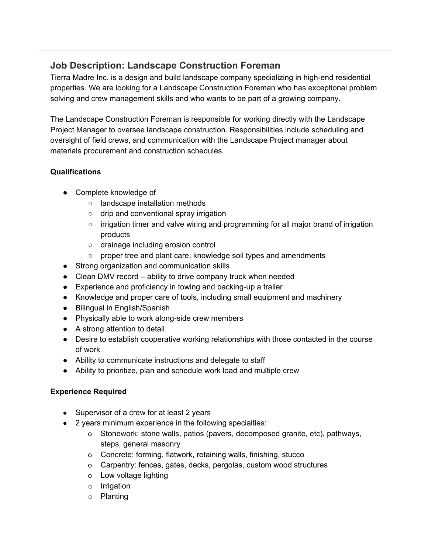# **Job Description: Landscape Construction Foreman**

Tierra Madre Inc. is a design and build landscape company specializing in high-end residential properties. We are looking for a Landscape Construction Foreman who has exceptional problem solving and crew management skills and who wants to be part of a growing company.

The Landscape Construction Foreman is responsible for working directly with the Landscape Project Manager to oversee landscape construction. Responsibilities include scheduling and oversight of field crews, and communication with the Landscape Project manager about materials procurement and construction schedules.

## **Qualifications**

- Complete knowledge of
	- landscape installation methods
	- drip and conventional spray irrigation
	- $\circ$  irrigation timer and valve wiring and programming for all major brand of irrigation products
	- drainage including erosion control
	- proper tree and plant care, knowledge soil types and amendments
- Strong organization and communication skills
- Clean DMV record ability to drive company truck when needed
- Experience and proficiency in towing and backing-up a trailer
- Knowledge and proper care of tools, including small equipment and machinery
- Bilingual in English/Spanish
- Physically able to work along-side crew members
- A strong attention to detail
- Desire to establish cooperative working relationships with those contacted in the course of work
- Ability to communicate instructions and delegate to staff
- Ability to prioritize, plan and schedule work load and multiple crew

#### **Experience Required**

- Supervisor of a crew for at least 2 years
- 2 years minimum experience in the following specialties:
	- o Stonework: stone walls, patios (pavers, decomposed granite, etc), pathways, steps, general masonry
	- o Concrete: forming, flatwork, retaining walls, finishing, stucco
	- o Carpentry: fences, gates, decks, pergolas, custom wood structures
	- o Low voltage lighting
	- o Irrigation
	- o Planting